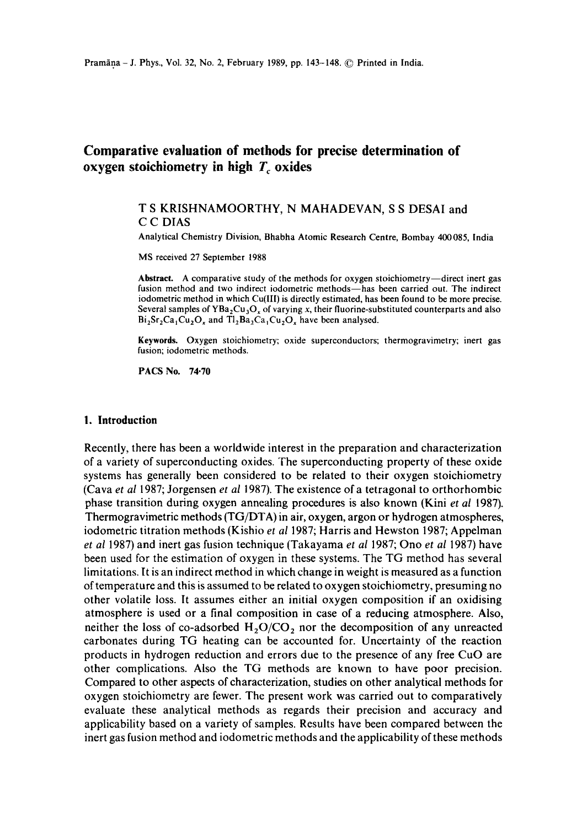# **Comparative evaluation of methods for precise determination of oxygen stoichiometry in high T** oxides

# T S KRISHNAMOORTHY, N MAHADEVAN, S S DESAI and C C DIAS

Analytical Chemistry Division, Bhabha Atomic Research Centre, Bombay 400085, India

MS received 27 September 1988

**Abstract.** A comparative study of the methods for oxygen stoichiometry—direct inert gas fusion method and two indirect iodometric methods-has been carried out. The indirect iodometric method in which Cu(llI) is directly estimated, has been found to be more precise. Several samples of  $YBa<sub>2</sub>Cu<sub>3</sub>O<sub>x</sub>$  of varying x, their fluorine-substituted counterparts and also  $Bi_2Sr_2Ca_1Cu_2O_2$  and  $Tl_2Ba_2Ca_1Cu_2O_2$  have been analysed.

**Keywords.** Oxygen stoichiometry; oxide superconductors; thermogravimetry; inert gas fusion; iodometric methods.

PACS No. **74.70** 

# **1. Introduction**

Recently, there has been a worldwide interest in the preparation and characterization of a variety of superconducting oxides. The superconducting property of these oxide systems has generally been considered to be related to their oxygen stoichiometry (Cava *et al* 1987; Jorgensen *et al* 1987). The existence of a tetragonai to orthorhombic phase transition during oxygen annealing procedures is also known (Kini *et al* 1987). Thermogravimetric methods (TG/DTA) in air, oxygen, argon or hydrogen atmospheres, iodometric titration methods (Kishio *et a11987;* Harris and Hewston 1987; Appelman *et al* 1987) and inert gas fusion technique (Takayama *et al* 1987; Ono *et al* 1987) have been used for the estimation of oxygen in these systems. The TG method has several limitations. It is an indirect method in which change in weight is measured as a function of temperature and this is assumed to be related to oxygen stoichiometry, presuming no other volatile loss. It assumes either an initial oxygen composition if an oxidising atmosphere is used or a final composition in case of a reducing atmosphere. Also, neither the loss of co-adsorbed  $H_2O/CO_2$  nor the decomposition of any unreacted carbonates during TG heating can be accounted for. Uncertainty of the reaction products in hydrogen reduction and errors due to the presence of any free CuO are other complications. Also the TG methods are known to have poor precision. Compared to other aspects of characterization, studies on other analytical methods for oxygen stoichiometry are fewer. The present work was carried out to comparatively evaluate these analytical methods as regards their precision and accuracy and applicability based on a variety of samples. Results have been compared between the inert gas fusion method and iodometric methods and the applicability of these methods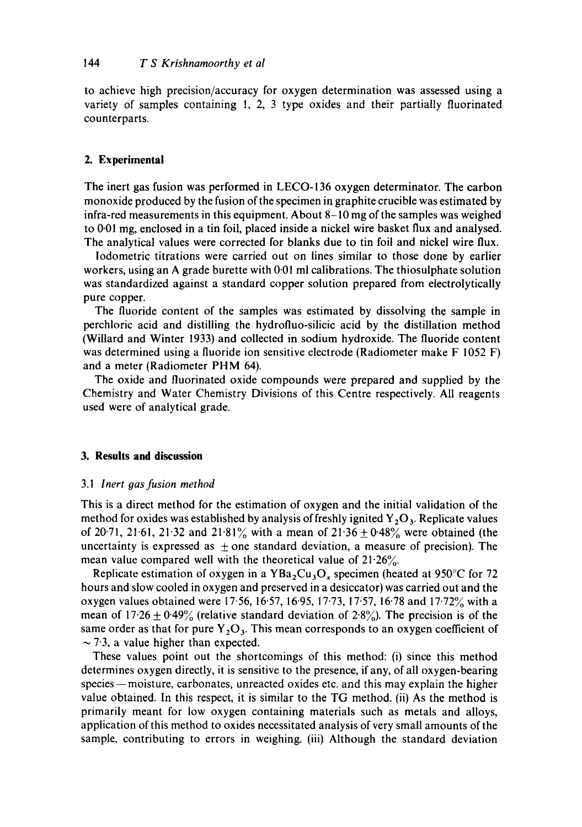to achieve high precision/accuracy for oxygen determination was assessed using a variety of samples containing 1, 2, 3 type oxides and their partially fluorinated counterparts.

### **2. Experimental**

The inert gas fusion was performed in LECO-136 oxygen determinator. The carbon monoxide produced by the fusion of the specimen in graphite crucible was estimated by infra-red measurements in this equipment. About 8-10 mg of the samples was weighed to 0.01 mg, enclosed in a tin foil, placed inside a nickel wire basket flux and analysed. The analytical values were corrected for blanks due to tin foil and nickel wire flux.

Iodometric titrations were carried out on lines similar to those done by earlier workers, using an A grade burette with 0.01 ml calibrations. The thiosulphate solution was standardized against a standard copper solution prepared from electrolytically pure copper.

The fluoride content of the samples was estimated by dissolving the sample in perchioric acid and distilling the hydrofluo-silicic acid by the distillation method (Willard and Winter 1933) and collected in sodium hydroxide. The fluoride content was determined using a fluoride ion sensitive electrode (Radiometer make F 1052 F) and a meter (Radiometer PHM 64).

The oxide and fluorinated oxide compounds were prepared and supplied by the Chemistry and Water Chemistry Divisions of this Centre respectively. All reagents used were of analytical grade.

### **3. Results and discussion**

#### *3.1 Inert 9as fusion method*

This is a direct method for the estimation of oxygen and the initial validation of the method for oxides was established by analysis of freshly ignited  $Y_2O_3$ . Replicate values of 20-71, 21-61, 21-32 and 21-81% with a mean of  $21.36 \pm 0.48$ % were obtained (the uncertainty is expressed as  $\pm$  one standard deviation, a measure of precision). The mean value compared well with the theoretical value of  $21.26\%$ .

Replicate estimation of oxygen in a YBa<sub>2</sub>Cu<sub>3</sub>O<sub>x</sub> specimen (heated at 950°C for 72 hours and slow cooled in oxygen and preserved in a desiccator) was carried out and the oxygen values obtained were 17.56, 16.57, 16.95, 17.73, 17.57, 16.78 and 17.72% with a mean of  $17.26 \pm 0.49\%$  (relative standard deviation of  $2.8\%$ ). The precision is of the same order as that for pure  $Y_2O_3$ . This mean corresponds to an oxygen coefficient of  $\sim$  7.3, a value higher than expected.

These values point out the shortcomings of this method: (i) since this method determines oxygen directly, it is sensitive to the presence, if any, of all oxygen-bearing species—moisture, carbonates, unreacted oxides etc. and this may explain the higher value obtained. In this respect, it is similar to the TG method. (ii) As the method is primarily meant for low oxygen containing materials such as metals and alloys, application of this method to oxides necessitated analysis of very small amounts of the sample, contributing to errors in weighing. (iii) Although the standard deviation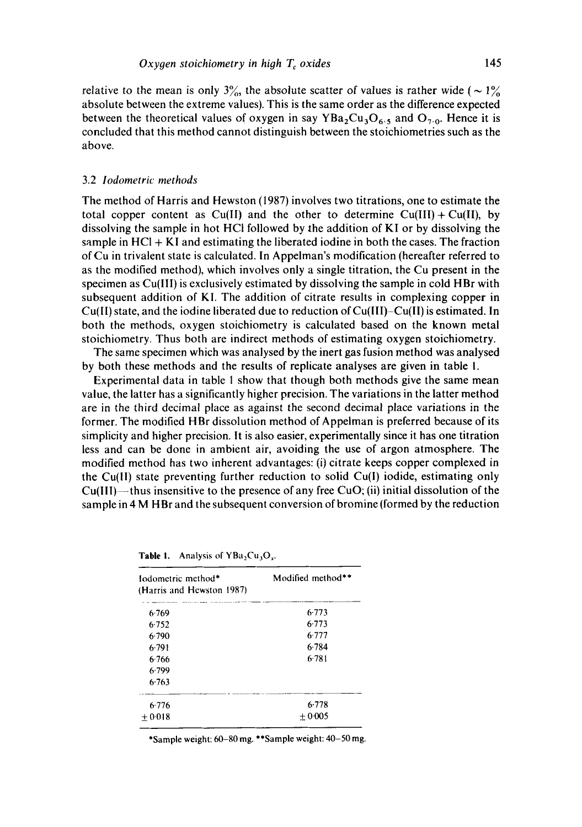relative to the mean is only 3%, the absolute scatter of values is rather wide ( $\sim 1\%$ ) absolute between the extreme values). This is the same order as the difference expected between the theoretical values of oxygen in say  $YBa<sub>2</sub>Cu<sub>3</sub>O<sub>6.5</sub>$  and  $O<sub>7.0</sub>$ . Hence it is concluded that this method cannot distinguish between the stoichiometries such as the above.

#### 3.2 *lodometric methods*

The method of Harris and Hewston (1987) involves two titrations, one to estimate the total copper content as  $Cu(II)$  and the other to determine  $Cu(III) + Cu(II)$ , by dissolving the sample in hot HCI followed by the addition of KI or by dissolving the sample in  $HCl + KI$  and estimating the liberated iodine in both the cases. The fraction of Cu in trivalent state is calculated. In Appelman's modification (hereafter referred to as the modified method), which involves only a single titration, the Cu present in the specimen as Cu(IIl) is exclusively estimated by dissolving the sample in cold HBr with subsequent addition of KI. The addition of citrate results in complexing copper in Cu(II) state, and the iodine liberated due to reduction of Cu(III)-Cu(ll) is estimated. In both the methods, oxygen stoichiometry is calculated based on the known metal stoichiometry. Thus both are indirect methods of estimating oxygen stoichiometry.

The same specimen which was analysed by the inert gas fusion method was analysed by both these methods and the results of replicate analyses are given in table 1.

Experimental data in table 1 show that though both methods give the same mean value, the latter has a significantly higher precision. The variations in the latter method are in the third decimal place as against the second decimal place variations in the former. The modified HBr dissolution method of Appelman is preferred because of its simplicity and higher precision. It is also easier, experimentally since it has one titration less and can be done in ambient air, avoiding the use of argon atmosphere. The modified method has two inherent advantages: (i) citrate keeps copper complexed in the Cu(ll) state preventing further reduction to solid Cu(l) iodide, estimating only  $Cu(III)$ —thus insensitive to the presence of any free CuO; (ii) initial dissolution of the sample in 4 M HBr and the subsequent conversion of bromine (formed by the reduction

| Iodometric method*<br>(Harris and Hewston 1987) | Modified method** |
|-------------------------------------------------|-------------------|
| 6.769                                           | 6.773             |
| 6.752                                           | 6.773             |
| 6.790                                           | 6.777             |
| $6-791$                                         | $6-784$           |
| 6.766                                           | 6.781             |
| 6.799                                           |                   |
| 6.763                                           |                   |
| 6.776                                           | 6.778             |
| $+0.018$                                        | $+0.005$          |

| Table 1. | Analysis of $YBa_2Cu_3O_x$ . |
|----------|------------------------------|
|----------|------------------------------|

\*Sample weight: 60-80 mg. \*\*Sample weight: 40-50 mg.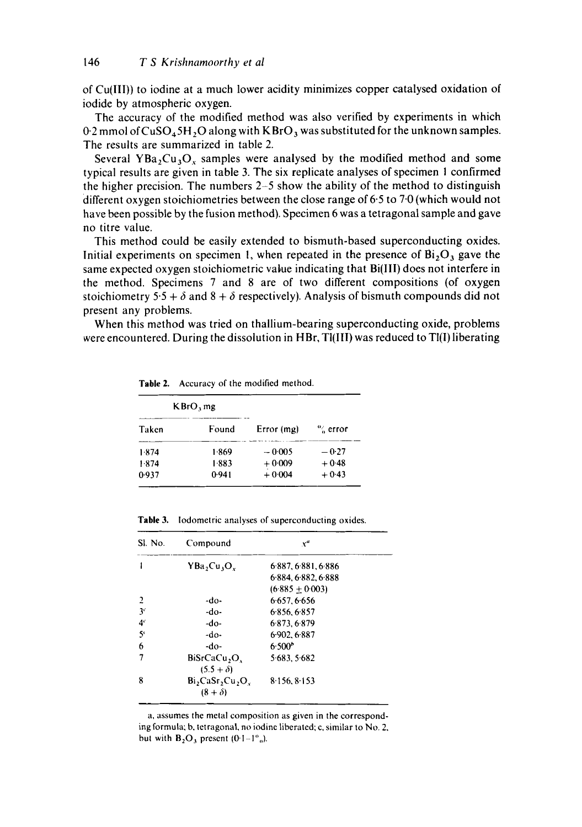of Cu(III)) to iodine at a much lower acidity minimizes copper catalysed oxidation of iodide by atmospheric oxygen.

The accuracy of the modified method was also verified by experiments in which  $0.2$  mmol of CuSO<sub>4</sub>5H, O along with KBrO, was substituted for the unknown samples. The results are summarized in table 2.

Several YBa<sub>2</sub>Cu<sub>3</sub>O<sub>x</sub> samples were analysed by the modified method and some typical results are given in table 3. The six replicate analyses of specimen 1 confirmed the higher precision. The numbers 2-5 show the ability of the method to distinguish different oxygen stoichiometries between the close range of 6.5 to 7.0 (which would not have been possible by the fusion method). Specimen 6 was a tetragonal sample and gave no titre value.

This method could be easily extended to bismuth-based superconducting oxides. Initial experiments on specimen 1, when repeated in the presence of  $Bi<sub>2</sub>O<sub>3</sub>$  gave the same expected oxygen stoichiometric value indicating that  $Bi(III)$  does not interfere in the method. Specimens 7 and 8 are of two different compositions (of oxygen stoichiometry 5.5 +  $\delta$  and 8 +  $\delta$  respectively). Analysis of bismuth compounds did not present any problems.

When this method was tried on thallium-bearing superconducting oxide, problems were encountered. During the dissolution in HBr, Ti(III) was reduced to TI(I) liberating

| KBrO, mg |       |            |            |
|----------|-------|------------|------------|
| Taken    | Found | Error (mg) | $\%$ error |
| 1.874    | 1.869 | $-0.005$   | $-0.27$    |
| 1.874    | 1.883 | $+0.009$   | $+0.48$    |
| 0.937    | 0.941 | $+0.004$   | $+0.43$    |

**Table** 2. Accuracy of the modified method.

**Table** 3. lodometric analyses of superconducting oxides.

| Sl. No.        | Compound                              | $x^{\mu}$           |  |
|----------------|---------------------------------------|---------------------|--|
|                | $YBa_2Cu_3O_x$                        | 6.887, 6.881, 6.886 |  |
|                |                                       | 6.884.6.882.6.888   |  |
|                |                                       | $(6.885 + 0.003)$   |  |
| 2              | -do-                                  | 6.657.6.656         |  |
| 3 <sup>c</sup> | -do-                                  | 6856.6857           |  |
| 4 <sup>c</sup> | -do-                                  | 6.873.6.879         |  |
| 5 <sup>1</sup> | $-do-$                                | 6.902.6.887         |  |
| 6              | -do-                                  | 6.500 <sup>b</sup>  |  |
| 7              | BiSrCaCu <sub>2</sub> O <sub>3</sub>  | 5.683.5.682         |  |
|                | $(5.5 + \delta)$                      |                     |  |
| 8              | $Bi_2CaSr_2Cu_2O_3$<br>$(8 + \delta)$ | 8.156, 8.153        |  |

a, assumes the metal composition as given in the corresponding formula; b, tetragonal, no iodine liberated; c, similar to No. *2,*  but with  $B_2O_3$  present (0.1-1<sup>%</sup>).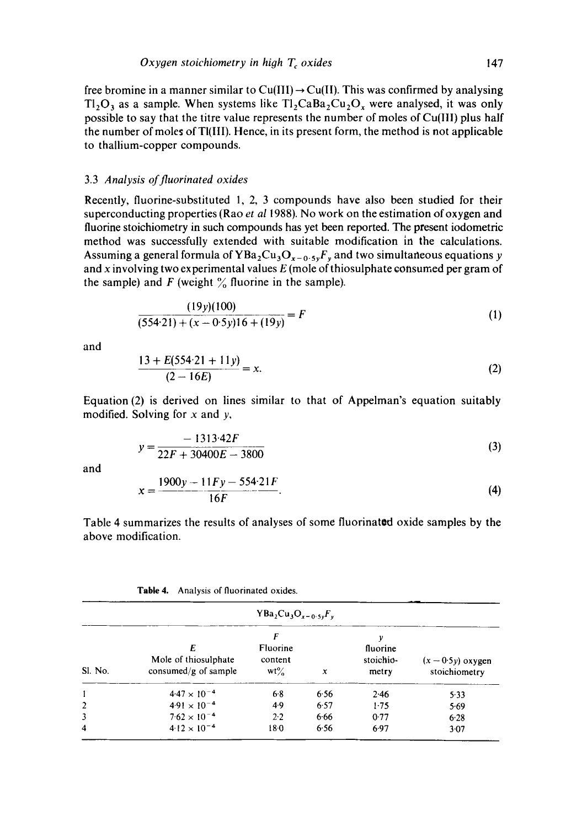free bromine in a manner similar to Cu(III)  $\rightarrow$  Cu(II). This was confirmed by analysing  $T<sub>1</sub>, O<sub>3</sub>$  as a sample. When systems like  $T<sub>1</sub>, C<sub>4</sub>, D<sub>4</sub>$  were analysed, it was only possible to say that the titre value represents the number of moles of Cu(lll) plus half the number of moles of Tl(IlI). Hence, in its present form, the method is not applicable to thallium-copper compounds.

### 3.3 *Analysis of fluorinated oxides*

Recently, fluorine-substituted 1, 2, 3 compounds have also been studied for their superconducting properties (Rao *et a11988).* No work on the estimation of oxygen and fluorine stoichiometry in such compounds has yet been reported. The present iodometric method was successfully extended with suitable modification in the calculations. Assuming a general formula of YBa<sub>2</sub>Cu<sub>3</sub>O<sub>x-0.5r</sub>F<sub>r</sub> and two simultaneous equations y and x involving two experimental values  $E$  (mole of thiosulphate consumed per gram of the sample) and  $F$  (weight  $\%$  fluorine in the sample).

$$
\frac{(19y)(100)}{(554\cdot21) + (x - 0.5y)16 + (19y)} = F
$$
\n(1)

and

$$
\frac{13 + E(554.21 + 11y)}{(2 - 16E)} = x.
$$
 (2)

Equation (2) is derived on lines similar to that of Appelman's equation suitably modified. Solving for  $x$  and  $y$ ,

$$
y = \frac{-1313.42F}{22F + 30400E - 3800}
$$
 (3)

and

$$
x = \frac{1900y - 11Fy - 554.21F}{16F}.
$$
 (4)

Table 4 summarizes the results of analyses of some fluorinated oxide samples by the above modification.

| Table 4. Analysis of fluorinated oxides. |  |  |
|------------------------------------------|--|--|
|------------------------------------------|--|--|

| $YBa_2Cu_3O_{x-0.5y}F_y$ |                                                   |                                           |      |                                     |                                      |
|--------------------------|---------------------------------------------------|-------------------------------------------|------|-------------------------------------|--------------------------------------|
| Sl. No.                  | Ε<br>Mole of thiosulphate<br>consumed/g of sample | F<br><b>Fluorine</b><br>content<br>$wt\%$ | x    | ν<br>fluorine<br>stoichio-<br>metry | $(x - 0.5y)$ oxygen<br>stoichiometry |
|                          | $4.47 \times 10^{-4}$                             | 6.8                                       | 6.56 | 2.46                                | 5.33                                 |
| $\overline{2}$           | $4.91 \times 10^{-4}$                             | 4.9                                       | 6.57 | 1.75                                | 5.69                                 |
| $\overline{\mathbf{3}}$  | $7.62 \times 10^{-4}$                             | 2.2                                       | 6.66 | 0.77                                | 6.28                                 |
| 4                        | $4.12 \times 10^{-4}$                             | 180                                       | 6.56 | 6.97                                | 3.07                                 |